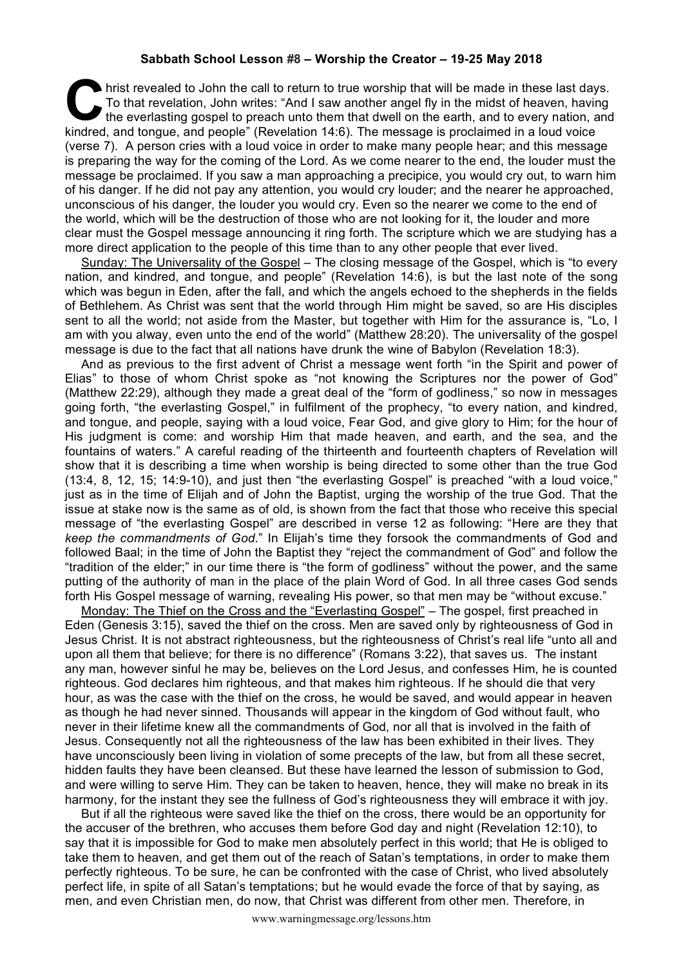## **Sabbath School Lesson #8 – Worship the Creator – 19-25 May 2018**

Inrist revealed to John the call to return to true worship that will be made in these last days. To that revelation, John writes: "And I saw another angel fly in the midst of heaven, having the everlasting gospel to preach unto them that dwell on the earth, and to every nation, and kindred, and tongue, and people" (Revelation 14:6). The message is proclaimed in a loud voice is that revelation, John writes: "And I saw another angel fly in the midst of heaven, having the everlasting gospel to preach un (verse 7). A person cries with a loud voice in order to make many people hear; and this message is preparing the way for the coming of the Lord. As we come nearer to the end, the louder must the message be proclaimed. If you saw a man approaching a precipice, you would cry out, to warn him of his danger. If he did not pay any attention, you would cry louder; and the nearer he approached, unconscious of his danger, the louder you would cry. Even so the nearer we come to the end of the world, which will be the destruction of those who are not looking for it, the louder and more clear must the Gospel message announcing it ring forth. The scripture which we are studying has a more direct application to the people of this time than to any other people that ever lived.

Sunday: The Universality of the Gospel – The closing message of the Gospel, which is "to every nation, and kindred, and tongue, and people" (Revelation 14:6), is but the last note of the song which was begun in Eden, after the fall, and which the angels echoed to the shepherds in the fields of Bethlehem. As Christ was sent that the world through Him might be saved, so are His disciples sent to all the world; not aside from the Master, but together with Him for the assurance is, "Lo, I am with you alway, even unto the end of the world" (Matthew 28:20). The universality of the gospel message is due to the fact that all nations have drunk the wine of Babylon (Revelation 18:3).

And as previous to the first advent of Christ a message went forth "in the Spirit and power of Elias" to those of whom Christ spoke as "not knowing the Scriptures nor the power of God" (Matthew 22:29), although they made a great deal of the "form of godliness," so now in messages going forth, "the everlasting Gospel," in fulfilment of the prophecy, "to every nation, and kindred, and tongue, and people, saying with a loud voice, Fear God, and give glory to Him; for the hour of His judgment is come: and worship Him that made heaven, and earth, and the sea, and the fountains of waters." A careful reading of the thirteenth and fourteenth chapters of Revelation will show that it is describing a time when worship is being directed to some other than the true God (13:4, 8, 12, 15; 14:9-10), and just then "the everlasting Gospel" is preached "with a loud voice," just as in the time of Elijah and of John the Baptist, urging the worship of the true God. That the issue at stake now is the same as of old, is shown from the fact that those who receive this special message of "the everlasting Gospel" are described in verse 12 as following: "Here are they that *keep the commandments of God*." In Elijah's time they forsook the commandments of God and followed Baal; in the time of John the Baptist they "reject the commandment of God" and follow the "tradition of the elder;" in our time there is "the form of godliness" without the power, and the same putting of the authority of man in the place of the plain Word of God. In all three cases God sends forth His Gospel message of warning, revealing His power, so that men may be "without excuse."

Monday: The Thief on the Cross and the "Everlasting Gospel" – The gospel, first preached in Eden (Genesis 3:15), saved the thief on the cross. Men are saved only by righteousness of God in Jesus Christ. It is not abstract righteousness, but the righteousness of Christ's real life "unto all and upon all them that believe; for there is no difference" (Romans 3:22), that saves us. The instant any man, however sinful he may be, believes on the Lord Jesus, and confesses Him, he is counted righteous. God declares him righteous, and that makes him righteous. If he should die that very hour, as was the case with the thief on the cross, he would be saved, and would appear in heaven as though he had never sinned. Thousands will appear in the kingdom of God without fault, who never in their lifetime knew all the commandments of God, nor all that is involved in the faith of Jesus. Consequently not all the righteousness of the law has been exhibited in their lives. They have unconsciously been living in violation of some precepts of the law, but from all these secret, hidden faults they have been cleansed. But these have learned the lesson of submission to God, and were willing to serve Him. They can be taken to heaven, hence, they will make no break in its harmony, for the instant they see the fullness of God's righteousness they will embrace it with joy.

But if all the righteous were saved like the thief on the cross, there would be an opportunity for the accuser of the brethren, who accuses them before God day and night (Revelation 12:10), to say that it is impossible for God to make men absolutely perfect in this world; that He is obliged to take them to heaven, and get them out of the reach of Satan's temptations, in order to make them perfectly righteous. To be sure, he can be confronted with the case of Christ, who lived absolutely perfect life, in spite of all Satan's temptations; but he would evade the force of that by saying, as men, and even Christian men, do now, that Christ was different from other men. Therefore, in